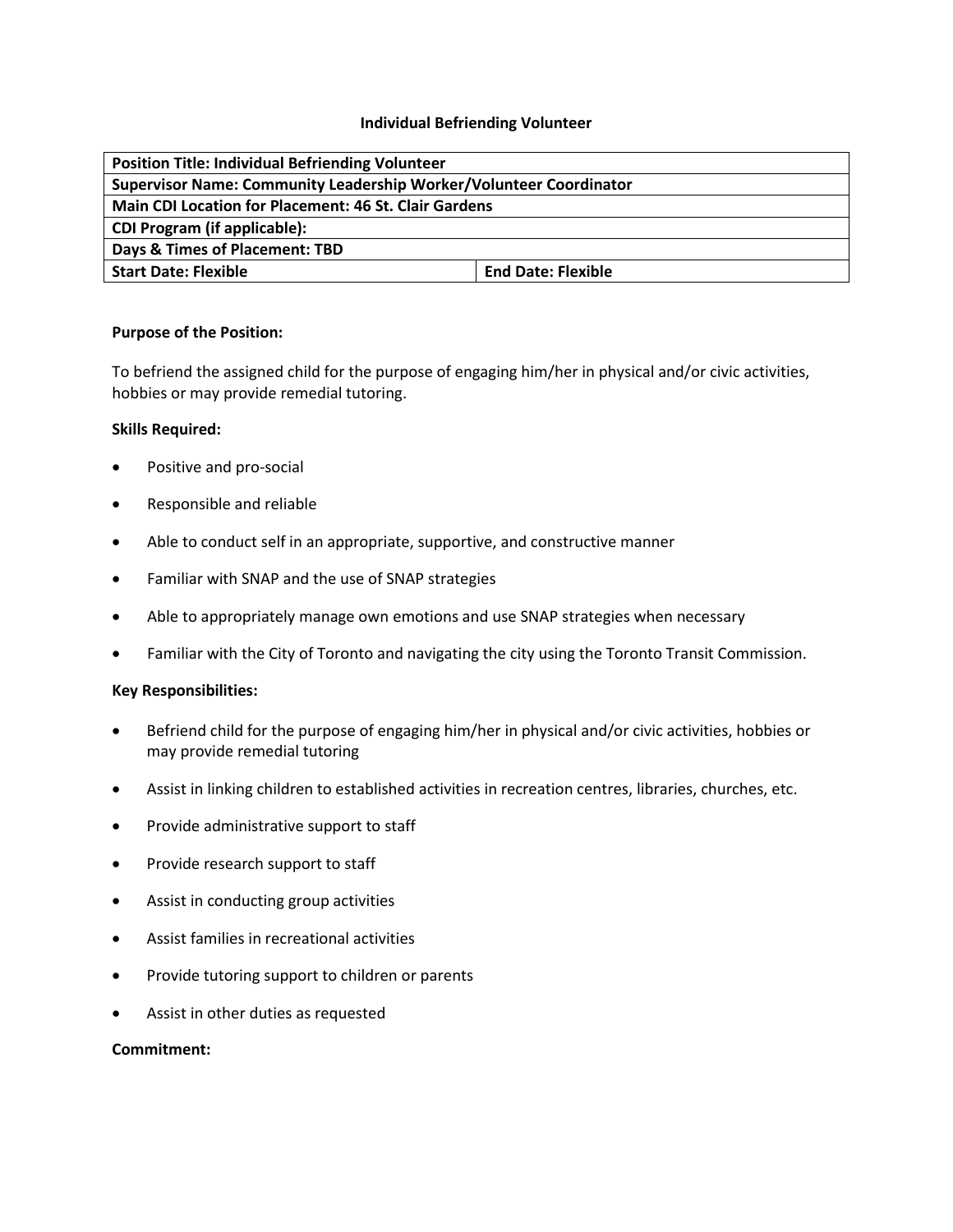#### **Individual Befriending Volunteer**

| <b>Position Title: Individual Befriending Volunteer</b>            |                           |
|--------------------------------------------------------------------|---------------------------|
| Supervisor Name: Community Leadership Worker/Volunteer Coordinator |                           |
| <b>Main CDI Location for Placement: 46 St. Clair Gardens</b>       |                           |
| <b>CDI Program (if applicable):</b>                                |                           |
| Days & Times of Placement: TBD                                     |                           |
| <b>Start Date: Flexible</b>                                        | <b>End Date: Flexible</b> |

#### **Purpose of the Position:**

To befriend the assigned child for the purpose of engaging him/her in physical and/or civic activities, hobbies or may provide remedial tutoring.

### **Skills Required:**

- Positive and pro-social
- Responsible and reliable
- Able to conduct self in an appropriate, supportive, and constructive manner
- Familiar with SNAP and the use of SNAP strategies
- Able to appropriately manage own emotions and use SNAP strategies when necessary
- Familiar with the City of Toronto and navigating the city using the Toronto Transit Commission.

#### **Key Responsibilities:**

- Befriend child for the purpose of engaging him/her in physical and/or civic activities, hobbies or may provide remedial tutoring
- Assist in linking children to established activities in recreation centres, libraries, churches, etc.
- Provide administrative support to staff
- Provide research support to staff
- Assist in conducting group activities
- Assist families in recreational activities
- Provide tutoring support to children or parents
- Assist in other duties as requested

#### **Commitment:**